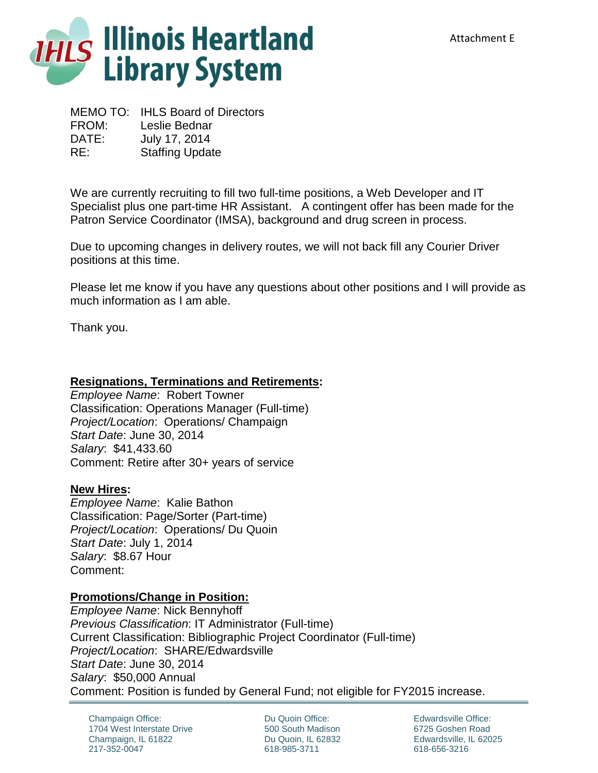

MEMO TO: IHLS Board of Directors FROM: Leslie Bednar DATE: July 17, 2014 RE: Staffing Update

We are currently recruiting to fill two full-time positions, a Web Developer and IT Specialist plus one part-time HR Assistant. A contingent offer has been made for the Patron Service Coordinator (IMSA), background and drug screen in process.

Due to upcoming changes in delivery routes, we will not back fill any Courier Driver positions at this time.

Please let me know if you have any questions about other positions and I will provide as much information as I am able.

Thank you.

## **Resignations, Terminations and Retirements:**

*Employee Name*: Robert Towner Classification: Operations Manager (Full-time) *Project/Location*: Operations/ Champaign *Start Date*: June 30, 2014 *Salary*: \$41,433.60 Comment: Retire after 30+ years of service

## **New Hires:**

*Employee Name*: Kalie Bathon Classification: Page/Sorter (Part-time) *Project/Location*: Operations/ Du Quoin *Start Date*: July 1, 2014 *Salary*: \$8.67 Hour Comment:

## **Promotions/Change in Position:**

*Employee Name*: Nick Bennyhoff *Previous Classification*: IT Administrator (Full-time) Current Classification: Bibliographic Project Coordinator (Full-time) *Project/Location*: SHARE/Edwardsville *Start Date*: June 30, 2014 *Salary*: \$50,000 Annual Comment: Position is funded by General Fund; not eligible for FY2015 increase.

Champaign Office: 1704 West Interstate Drive Champaign, IL 61822 217-352-0047

Du Quoin Office: 500 South Madison Du Quoin, IL 62832 618-985-3711

Edwardsville Office: 6725 Goshen Road Edwardsville, IL 62025 618-656-3216